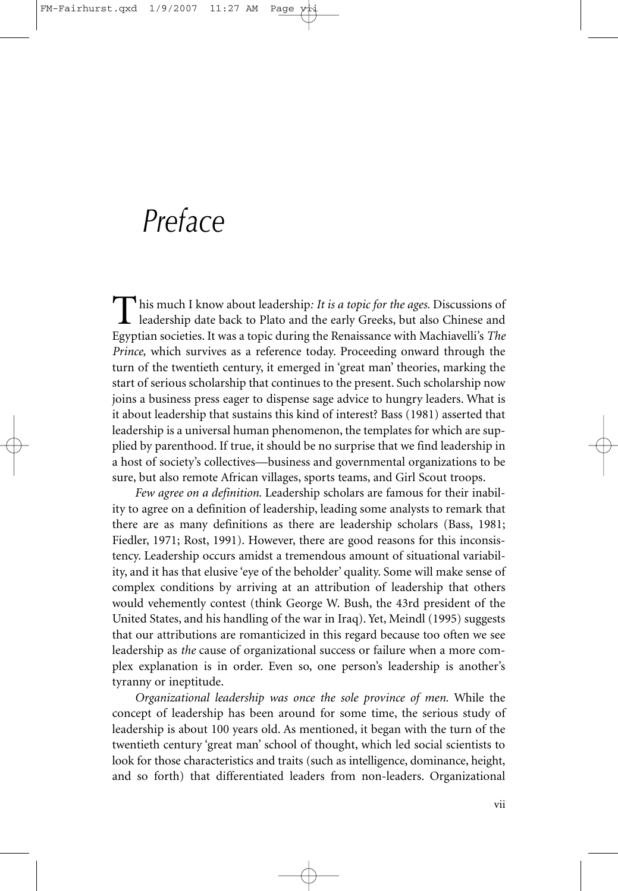# *Preface*

This much I know about leadership: *It is a topic for the ages*. Discussions of<br>leadership date back to Plato and the early Greeks, but also Chinese and<br>Exercise a sitting Itasse a topic degine the Propince a switch Machin Egyptian societies. It was a topic during the Renaissance with Machiavelli's *The Prince,* which survives as a reference today. Proceeding onward through the turn of the twentieth century, it emerged in 'great man' theories, marking the start of serious scholarship that continues to the present. Such scholarship now joins a business press eager to dispense sage advice to hungry leaders. What is it about leadership that sustains this kind of interest? Bass (1981) asserted that leadership is a universal human phenomenon, the templates for which are supplied by parenthood. If true, it should be no surprise that we find leadership in a host of society's collectives—business and governmental organizations to be sure, but also remote African villages, sports teams, and Girl Scout troops.

*Few agree on a definition.* Leadership scholars are famous for their inability to agree on a definition of leadership, leading some analysts to remark that there are as many definitions as there are leadership scholars (Bass, 1981; Fiedler, 1971; Rost, 1991). However, there are good reasons for this inconsistency. Leadership occurs amidst a tremendous amount of situational variability, and it has that elusive 'eye of the beholder' quality. Some will make sense of complex conditions by arriving at an attribution of leadership that others would vehemently contest (think George W. Bush, the 43rd president of the United States, and his handling of the war in Iraq). Yet, Meindl (1995) suggests that our attributions are romanticized in this regard because too often we see leadership as *the* cause of organizational success or failure when a more complex explanation is in order. Even so, one person's leadership is another's tyranny or ineptitude.

*Organizational leadership was once the sole province of men.* While the concept of leadership has been around for some time, the serious study of leadership is about 100 years old. As mentioned, it began with the turn of the twentieth century 'great man' school of thought, which led social scientists to look for those characteristics and traits (such as intelligence, dominance, height, and so forth) that differentiated leaders from non-leaders. Organizational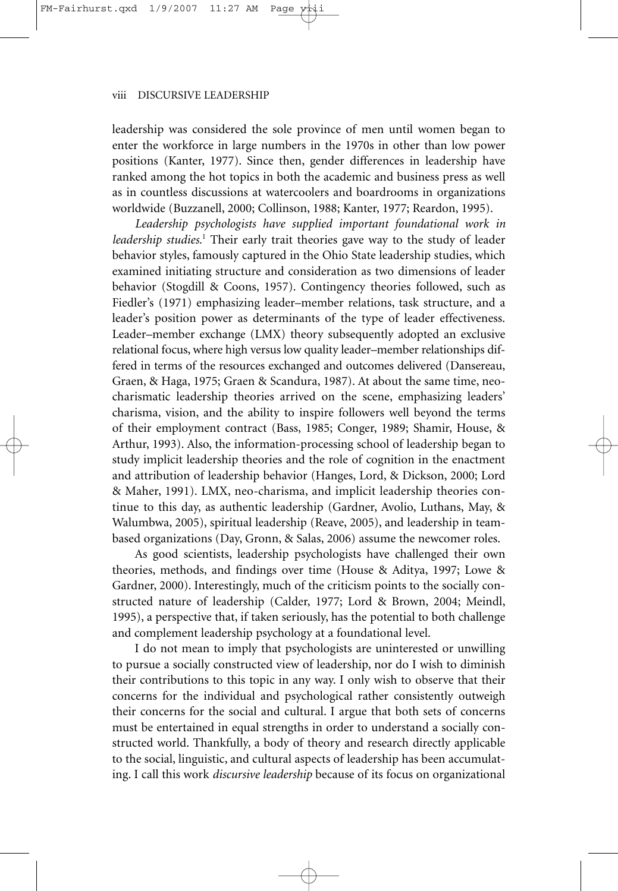### viii—DISCURSIVE LEADERSHIP

leadership was considered the sole province of men until women began to enter the workforce in large numbers in the 1970s in other than low power positions (Kanter, 1977). Since then, gender differences in leadership have ranked among the hot topics in both the academic and business press as well as in countless discussions at watercoolers and boardrooms in organizations worldwide (Buzzanell, 2000; Collinson, 1988; Kanter, 1977; Reardon, 1995).

*Leadership psychologists have supplied important foundational work in leadership studies.*<sup>1</sup> Their early trait theories gave way to the study of leader behavior styles, famously captured in the Ohio State leadership studies, which examined initiating structure and consideration as two dimensions of leader behavior (Stogdill & Coons, 1957). Contingency theories followed, such as Fiedler's (1971) emphasizing leader–member relations, task structure, and a leader's position power as determinants of the type of leader effectiveness. Leader–member exchange (LMX) theory subsequently adopted an exclusive relational focus, where high versus low quality leader–member relationships differed in terms of the resources exchanged and outcomes delivered (Dansereau, Graen, & Haga, 1975; Graen & Scandura, 1987). At about the same time, neocharismatic leadership theories arrived on the scene, emphasizing leaders' charisma, vision, and the ability to inspire followers well beyond the terms of their employment contract (Bass, 1985; Conger, 1989; Shamir, House, & Arthur, 1993). Also, the information-processing school of leadership began to study implicit leadership theories and the role of cognition in the enactment and attribution of leadership behavior (Hanges, Lord, & Dickson, 2000; Lord & Maher, 1991). LMX, neo-charisma, and implicit leadership theories continue to this day, as authentic leadership (Gardner, Avolio, Luthans, May, & Walumbwa, 2005), spiritual leadership (Reave, 2005), and leadership in teambased organizations (Day, Gronn, & Salas, 2006) assume the newcomer roles.

As good scientists, leadership psychologists have challenged their own theories, methods, and findings over time (House & Aditya, 1997; Lowe & Gardner, 2000). Interestingly, much of the criticism points to the socially constructed nature of leadership (Calder, 1977; Lord & Brown, 2004; Meindl, 1995), a perspective that, if taken seriously, has the potential to both challenge and complement leadership psychology at a foundational level.

I do not mean to imply that psychologists are uninterested or unwilling to pursue a socially constructed view of leadership, nor do I wish to diminish their contributions to this topic in any way. I only wish to observe that their concerns for the individual and psychological rather consistently outweigh their concerns for the social and cultural. I argue that both sets of concerns must be entertained in equal strengths in order to understand a socially constructed world. Thankfully, a body of theory and research directly applicable to the social, linguistic, and cultural aspects of leadership has been accumulating. I call this work *discursive leadership* because of its focus on organizational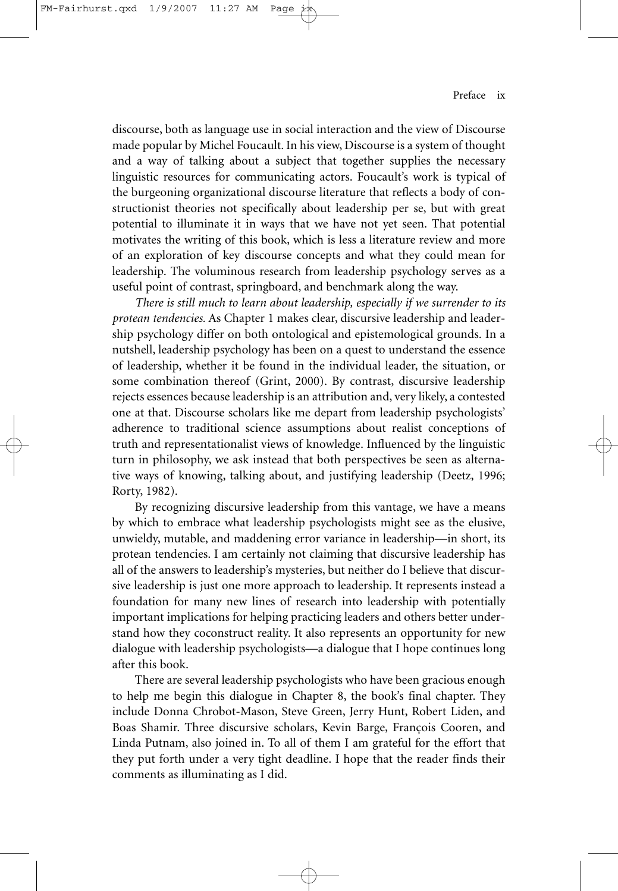## Preface—ix

discourse, both as language use in social interaction and the view of Discourse made popular by Michel Foucault. In his view, Discourse is a system of thought and a way of talking about a subject that together supplies the necessary linguistic resources for communicating actors. Foucault's work is typical of the burgeoning organizational discourse literature that reflects a body of constructionist theories not specifically about leadership per se, but with great potential to illuminate it in ways that we have not yet seen. That potential motivates the writing of this book, which is less a literature review and more of an exploration of key discourse concepts and what they could mean for leadership. The voluminous research from leadership psychology serves as a useful point of contrast, springboard, and benchmark along the way.

*There is still much to learn about leadership, especially if we surrender to its protean tendencies.* As Chapter 1 makes clear, discursive leadership and leadership psychology differ on both ontological and epistemological grounds. In a nutshell, leadership psychology has been on a quest to understand the essence of leadership, whether it be found in the individual leader, the situation, or some combination thereof (Grint, 2000). By contrast, discursive leadership rejects essences because leadership is an attribution and, very likely, a contested one at that. Discourse scholars like me depart from leadership psychologists' adherence to traditional science assumptions about realist conceptions of truth and representationalist views of knowledge. Influenced by the linguistic turn in philosophy, we ask instead that both perspectives be seen as alternative ways of knowing, talking about, and justifying leadership (Deetz, 1996; Rorty, 1982).

By recognizing discursive leadership from this vantage, we have a means by which to embrace what leadership psychologists might see as the elusive, unwieldy, mutable, and maddening error variance in leadership—in short, its protean tendencies. I am certainly not claiming that discursive leadership has all of the answers to leadership's mysteries, but neither do I believe that discursive leadership is just one more approach to leadership. It represents instead a foundation for many new lines of research into leadership with potentially important implications for helping practicing leaders and others better understand how they coconstruct reality. It also represents an opportunity for new dialogue with leadership psychologists—a dialogue that I hope continues long after this book.

There are several leadership psychologists who have been gracious enough to help me begin this dialogue in Chapter 8, the book's final chapter. They include Donna Chrobot-Mason, Steve Green, Jerry Hunt, Robert Liden, and Boas Shamir. Three discursive scholars, Kevin Barge, François Cooren, and Linda Putnam, also joined in. To all of them I am grateful for the effort that they put forth under a very tight deadline. I hope that the reader finds their comments as illuminating as I did.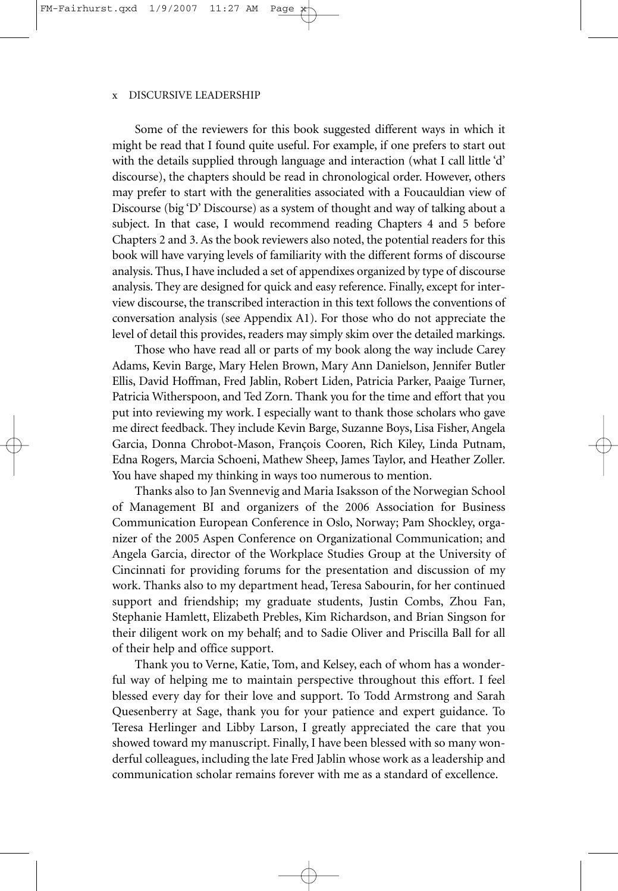### x—DISCURSIVE LEADERSHIP

Some of the reviewers for this book suggested different ways in which it might be read that I found quite useful. For example, if one prefers to start out with the details supplied through language and interaction (what I call little 'd' discourse), the chapters should be read in chronological order. However, others may prefer to start with the generalities associated with a Foucauldian view of Discourse (big 'D' Discourse) as a system of thought and way of talking about a subject. In that case, I would recommend reading Chapters 4 and 5 before Chapters 2 and 3. As the book reviewers also noted, the potential readers for this book will have varying levels of familiarity with the different forms of discourse analysis. Thus, I have included a set of appendixes organized by type of discourse analysis. They are designed for quick and easy reference. Finally, except for interview discourse, the transcribed interaction in this text follows the conventions of conversation analysis (see Appendix A1). For those who do not appreciate the level of detail this provides, readers may simply skim over the detailed markings.

Those who have read all or parts of my book along the way include Carey Adams, Kevin Barge, Mary Helen Brown, Mary Ann Danielson, Jennifer Butler Ellis, David Hoffman, Fred Jablin, Robert Liden, Patricia Parker, Paaige Turner, Patricia Witherspoon, and Ted Zorn. Thank you for the time and effort that you put into reviewing my work. I especially want to thank those scholars who gave me direct feedback. They include Kevin Barge, Suzanne Boys, Lisa Fisher, Angela Garcia, Donna Chrobot-Mason, François Cooren, Rich Kiley, Linda Putnam, Edna Rogers, Marcia Schoeni, Mathew Sheep, James Taylor, and Heather Zoller. You have shaped my thinking in ways too numerous to mention.

Thanks also to Jan Svennevig and Maria Isaksson of the Norwegian School of Management BI and organizers of the 2006 Association for Business Communication European Conference in Oslo, Norway; Pam Shockley, organizer of the 2005 Aspen Conference on Organizational Communication; and Angela Garcia, director of the Workplace Studies Group at the University of Cincinnati for providing forums for the presentation and discussion of my work. Thanks also to my department head, Teresa Sabourin, for her continued support and friendship; my graduate students, Justin Combs, Zhou Fan, Stephanie Hamlett, Elizabeth Prebles, Kim Richardson, and Brian Singson for their diligent work on my behalf; and to Sadie Oliver and Priscilla Ball for all of their help and office support.

Thank you to Verne, Katie, Tom, and Kelsey, each of whom has a wonderful way of helping me to maintain perspective throughout this effort. I feel blessed every day for their love and support. To Todd Armstrong and Sarah Quesenberry at Sage, thank you for your patience and expert guidance. To Teresa Herlinger and Libby Larson, I greatly appreciated the care that you showed toward my manuscript. Finally, I have been blessed with so many wonderful colleagues, including the late Fred Jablin whose work as a leadership and communication scholar remains forever with me as a standard of excellence.